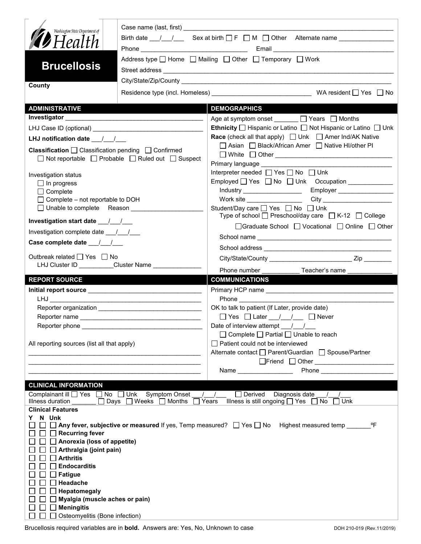| Washington State Department of<br><b>D</b> Health<br><b>Brucellosis</b>                                                   |                                                     | Address type $\Box$ Home $\Box$ Mailing $\Box$ Other $\Box$ Temporary $\Box$ Work                                            |
|---------------------------------------------------------------------------------------------------------------------------|-----------------------------------------------------|------------------------------------------------------------------------------------------------------------------------------|
| County                                                                                                                    |                                                     |                                                                                                                              |
|                                                                                                                           |                                                     |                                                                                                                              |
| <b>ADMINISTRATIVE</b>                                                                                                     |                                                     | <b>DEMOGRAPHICS</b>                                                                                                          |
|                                                                                                                           |                                                     | Age at symptom onset <u>January D</u> Years D Months                                                                         |
|                                                                                                                           |                                                     | <b>Ethnicity</b> $\Box$ Hispanic or Latino $\Box$ Not Hispanic or Latino $\Box$ Unk                                          |
| LHJ notification date $\frac{1}{2}$                                                                                       |                                                     | <b>Race</b> (check all that apply) $\Box$ Unk $\Box$ Amer Ind/AK Native<br>□ Asian □ Black/African Amer □ Native HI/other PI |
| <b>Classification</b> $\Box$ Classification pending $\Box$ Confirmed<br>□ Not reportable □ Probable □ Ruled out □ Suspect |                                                     | □ White □ Other <u>___________________________________</u>                                                                   |
| Investigation status                                                                                                      |                                                     | Interpreter needed $\Box$ Yes $\Box$ No $\Box$ Unk                                                                           |
| $\Box$ In progress                                                                                                        |                                                     |                                                                                                                              |
| $\Box$ Complete                                                                                                           |                                                     |                                                                                                                              |
| $\Box$ Complete – not reportable to DOH                                                                                   |                                                     |                                                                                                                              |
| □ Unable to complete Reason                                                                                               |                                                     | Student/Day care □ Yes □ No □ Unk<br>Type of school $\Box$ Preschool/day care $\Box$ K-12 $\Box$ College                     |
| Investigation start date 11                                                                                               |                                                     | □Graduate School □ Vocational □ Online □ Other                                                                               |
| Investigation complete date ___/___/___                                                                                   |                                                     |                                                                                                                              |
| Case complete date __/_/__/                                                                                               |                                                     |                                                                                                                              |
| Outbreak related □ Yes □ No                                                                                               | LHJ Cluster ID _________Cluster Name ______________ |                                                                                                                              |
|                                                                                                                           |                                                     | Phone number <b>Example</b><br>Teacher's name                                                                                |
| <b>REPORT SOURCE</b>                                                                                                      |                                                     | <b>COMMUNICATIONS</b>                                                                                                        |
|                                                                                                                           |                                                     |                                                                                                                              |
|                                                                                                                           |                                                     | OK to talk to patient (If Later, provide date)                                                                               |
|                                                                                                                           |                                                     | $\Box$ Yes $\Box$ Later $\frac{1}{\Box}$ $\Box$ Never                                                                        |
| Reporter phone __________                                                                                                 |                                                     | Date of interview attempt $\frac{1}{\sqrt{2}}$                                                                               |
|                                                                                                                           |                                                     | $\Box$ Complete $\Box$ Partial $\Box$ Unable to reach                                                                        |
| All reporting sources (list all that apply)                                                                               |                                                     | □ Patient could not be interviewed                                                                                           |
|                                                                                                                           |                                                     | Alternate contact<br>□ Parent/Guardian<br>□ Spouse/Partner                                                                   |
|                                                                                                                           |                                                     | □Friend □ Other <u>_____________________</u>                                                                                 |
|                                                                                                                           |                                                     | Name __________________                                                                                                      |
| <b>CLINICAL INFORMATION</b>                                                                                               |                                                     |                                                                                                                              |
| Complainant ill $\Box$ Yes $\Box$ No $\Box$ Unk                                                                           | <b>Symptom Onset</b>                                | $\Box$ Derived<br>Diagnosis date                                                                                             |
| Illness duration<br><b>Clinical Features</b>                                                                              | $\Box$ Days $\Box$ Weeks $\Box$ Months $\Box$       | Illness is still ongoing $\Box$ Yes $\Box$ No $\Box$ Unk<br>Years                                                            |
| N Unk<br>Y.                                                                                                               |                                                     |                                                                                                                              |
|                                                                                                                           |                                                     | □ □ Any fever, subjective or measured If yes, Temp measured? □ Yes □ No Highest measured temp ___<br>$^{\circ}$ F            |
| $\Box$ Recurring fever                                                                                                    |                                                     |                                                                                                                              |
| $\Box$ Anorexia (loss of appetite)<br>$\Box$ Arthralgia (joint pain)                                                      |                                                     |                                                                                                                              |
| $\Box$ Arthritis                                                                                                          |                                                     |                                                                                                                              |
| <b>Endocarditis</b><br>$\perp$                                                                                            |                                                     |                                                                                                                              |
| $\Box$ Fatigue                                                                                                            |                                                     |                                                                                                                              |
| $\Box$ Headache                                                                                                           |                                                     |                                                                                                                              |
| $\Box$ Hepatomegaly<br>$\Box$ Myalgia (muscle aches or pain)                                                              |                                                     |                                                                                                                              |
| $\Box$ Meningitis                                                                                                         |                                                     |                                                                                                                              |
| □ Osteomyelitis (Bone infection)                                                                                          |                                                     |                                                                                                                              |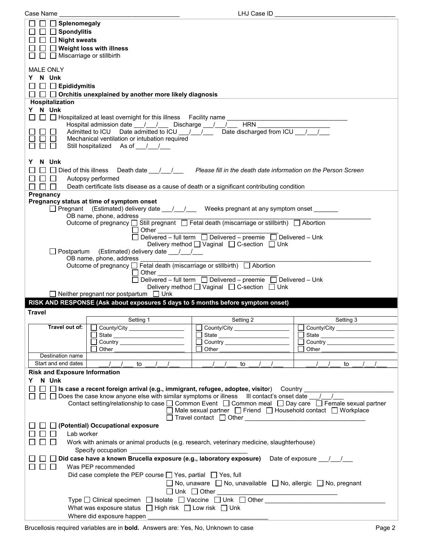| Case Name                              |                                                                                                                                       | LHJ Case ID                                                                        |                                          |
|----------------------------------------|---------------------------------------------------------------------------------------------------------------------------------------|------------------------------------------------------------------------------------|------------------------------------------|
| Splenomegaly                           |                                                                                                                                       |                                                                                    |                                          |
| $\Box$ Spondylitis                     |                                                                                                                                       |                                                                                    |                                          |
|                                        |                                                                                                                                       |                                                                                    |                                          |
| $\Box$ Night sweats                    |                                                                                                                                       |                                                                                    |                                          |
| $\Box$ $\Box$ Weight loss with illness |                                                                                                                                       |                                                                                    |                                          |
| Miscarriage or stillbirth<br>$\sim 10$ |                                                                                                                                       |                                                                                    |                                          |
|                                        |                                                                                                                                       |                                                                                    |                                          |
| <b>MALE ONLY</b>                       |                                                                                                                                       |                                                                                    |                                          |
| Y N Unk                                |                                                                                                                                       |                                                                                    |                                          |
| $\Box$ $\Box$ Epididymitis             |                                                                                                                                       |                                                                                    |                                          |
|                                        |                                                                                                                                       |                                                                                    |                                          |
|                                        | $\Box~\Box~\Box$ Orchitis unexplained by another more likely diagnosis                                                                |                                                                                    |                                          |
| Hospitalization                        |                                                                                                                                       |                                                                                    |                                          |
| Y N Unk                                |                                                                                                                                       |                                                                                    |                                          |
|                                        | $\Box~\Box~\Box$ Hospitalized at least overnight for this illness $~\,$ Facility name $\_$                                            |                                                                                    |                                          |
|                                        | Hospital admission date ___/___/____ Discharge ___/___/___                                                                            | <b>HRN</b>                                                                         |                                          |
|                                        | Admitted to ICU Date admitted to ICU / / / Date discharged from ICU / /                                                               |                                                                                    |                                          |
|                                        | Mechanical ventilation or intubation required                                                                                         |                                                                                    |                                          |
|                                        | Still hospitalized As of / /                                                                                                          |                                                                                    |                                          |
|                                        |                                                                                                                                       |                                                                                    |                                          |
| Y N Unk                                |                                                                                                                                       |                                                                                    |                                          |
|                                        |                                                                                                                                       |                                                                                    |                                          |
|                                        | $\Box$ Died of this illness Death date $\Box$ / $\Box$ Please fill in the death date information on the Person Screen                 |                                                                                    |                                          |
| $\perp$<br>$\perp$                     | Autopsy performed                                                                                                                     |                                                                                    |                                          |
| $\perp$<br>$\perp$                     | Death certificate lists disease as a cause of death or a significant contributing condition                                           |                                                                                    |                                          |
| Pregnancy                              |                                                                                                                                       |                                                                                    |                                          |
|                                        | Pregnancy status at time of symptom onset                                                                                             |                                                                                    |                                          |
|                                        | □ Pregnant (Estimated) delivery date ___/___/ Weeks pregnant at any symptom onset ______                                              |                                                                                    |                                          |
|                                        | OB name, phone, address _                                                                                                             |                                                                                    |                                          |
|                                        | Outcome of pregnancy □ Still pregnant □ Fetal death (miscarriage or stillbirth) □ Abortion                                            |                                                                                    |                                          |
|                                        | ⊟ Other                                                                                                                               |                                                                                    |                                          |
|                                        |                                                                                                                                       | $\Box$ Delivered – full term $\Box$ Delivered – preemie $\Box$ Delivered – Unk     |                                          |
|                                        |                                                                                                                                       | Delivery method $\Box$ Vaginal $\Box$ C-section $\Box$ Unk                         |                                          |
|                                        | □ Postpartum (Estimated) delivery date ___/___/                                                                                       |                                                                                    |                                          |
|                                        |                                                                                                                                       |                                                                                    |                                          |
|                                        | OB name, phone, address                                                                                                               |                                                                                    |                                          |
|                                        | Outcome of pregnancy □ Fetal death (miscarriage or stillbirth) □ Abortion                                                             |                                                                                    |                                          |
|                                        |                                                                                                                                       |                                                                                    |                                          |
|                                        |                                                                                                                                       |                                                                                    |                                          |
|                                        |                                                                                                                                       | Delivery method □ Vaginal □ C-section □ Unk                                        |                                          |
|                                        | $\Box$ Neither pregnant nor postpartum $\Box$ Unk                                                                                     |                                                                                    |                                          |
|                                        | RISK AND RESPONSE (Ask about exposures 5 days to 5 months before symptom onset)                                                       |                                                                                    |                                          |
| <b>Travel</b>                          |                                                                                                                                       |                                                                                    |                                          |
|                                        | Setting 1                                                                                                                             | Setting 2                                                                          | Setting 3                                |
| Travel out of:                         |                                                                                                                                       |                                                                                    |                                          |
|                                        | $\Box$ County/City __________________                                                                                                 |                                                                                    | $\Box$ County/City _____________________ |
|                                        | State ________________________                                                                                                        |                                                                                    |                                          |
|                                        |                                                                                                                                       |                                                                                    |                                          |
|                                        | Other                                                                                                                                 | Other                                                                              | Other                                    |
| Destination name                       |                                                                                                                                       |                                                                                    |                                          |
| Start and end dates                    | $\frac{1}{2}$<br>to                                                                                                                   | $\prime$<br>to                                                                     | $\prime$<br>to                           |
| <b>Risk and Exposure Information</b>   |                                                                                                                                       |                                                                                    |                                          |
| N Unk<br>Y.                            |                                                                                                                                       |                                                                                    |                                          |
|                                        |                                                                                                                                       |                                                                                    |                                          |
|                                        | $\square$ S case a recent foreign arrival (e.g., immigrant, refugee, adoptee, visitor) Country __________                             |                                                                                    |                                          |
|                                        | $\Box~\Box~\Box$ Does the case know anyone else with similar symptoms or illness $\quad$ III contact's onset date $\quad$ / $\quad$ / |                                                                                    |                                          |
|                                        | Contact setting/relationship to case $\Box$ Common Event $\Box$ Common meal $\Box$ Day care $\Box$ Female sexual partner              |                                                                                    |                                          |
|                                        |                                                                                                                                       | $\Box$ Male sexual partner $\Box$ Friend $\Box$ Household contact $\Box$ Workplace |                                          |
|                                        |                                                                                                                                       |                                                                                    |                                          |
|                                        | $\Box$ (Potential) Occupational exposure                                                                                              |                                                                                    |                                          |
| Lab worker                             |                                                                                                                                       |                                                                                    |                                          |
|                                        | Work with animals or animal products (e.g. research, veterinary medicine, slaughterhouse)                                             |                                                                                    |                                          |
|                                        |                                                                                                                                       |                                                                                    |                                          |
|                                        |                                                                                                                                       |                                                                                    |                                          |
|                                        | □ Did case have a known Brucella exposure (e.g., laboratory exposure) Date of exposure $\frac{1}{\sqrt{2}}$                           |                                                                                    |                                          |
|                                        | Was PEP recommended                                                                                                                   |                                                                                    |                                          |
|                                        | Did case complete the PEP course $\Box$ Yes, partial $\Box$ Yes, full                                                                 |                                                                                    |                                          |
|                                        |                                                                                                                                       | $\Box$ No, unaware $\Box$ No, unavailable $\Box$ No, allergic $\Box$ No, pregnant  |                                          |
|                                        |                                                                                                                                       |                                                                                    |                                          |
|                                        |                                                                                                                                       |                                                                                    |                                          |
|                                        | Type $\square$ Clinical specimen $\square$ Isolate $\square$ Vaccine $\square$ Unk $\square$ Other                                    |                                                                                    |                                          |
|                                        | What was exposure status $\Box$ High risk $\Box$ Low risk $\Box$ Unk                                                                  |                                                                                    |                                          |
|                                        | Where did exposure happen                                                                                                             |                                                                                    |                                          |
|                                        |                                                                                                                                       |                                                                                    |                                          |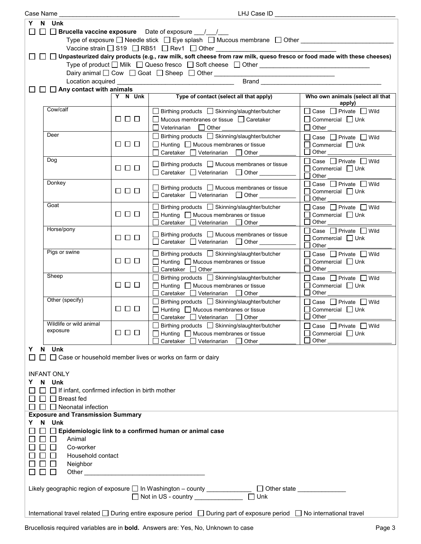|                                                                                                     | Case Name                                                                             |                      | LHJ Case ID                                                                                                                          |                                            |
|-----------------------------------------------------------------------------------------------------|---------------------------------------------------------------------------------------|----------------------|--------------------------------------------------------------------------------------------------------------------------------------|--------------------------------------------|
| Y                                                                                                   | N Unk                                                                                 |                      |                                                                                                                                      |                                            |
| $\Box$ $\Box$ <b>Brucella vaccine exposure</b> Date of exposure $\Box$                              |                                                                                       |                      |                                                                                                                                      |                                            |
|                                                                                                     | Type of exposure □ Needle stick □ Eye splash □ Mucous membrane □ Other ______________ |                      |                                                                                                                                      |                                            |
|                                                                                                     |                                                                                       |                      | Vaccine strain □ S19 □ RB51 □ Rev1 □ Other __________________                                                                        |                                            |
|                                                                                                     |                                                                                       |                      | $\Box$ $\Box$ Unpasteurized dairy products (e.g., raw milk, soft cheese from raw milk, queso fresco or food made with these cheeses) |                                            |
|                                                                                                     |                                                                                       |                      |                                                                                                                                      |                                            |
|                                                                                                     |                                                                                       |                      | Type of product □ Milk □ Queso fresco □ Soft cheese □ Other ____________________                                                     |                                            |
|                                                                                                     |                                                                                       |                      |                                                                                                                                      |                                            |
|                                                                                                     |                                                                                       |                      | Brand <u>_____________________</u>                                                                                                   |                                            |
|                                                                                                     | $\Box$ $\Box$ Any contact with animals                                                |                      |                                                                                                                                      |                                            |
|                                                                                                     |                                                                                       | Y N Unk              | Type of contact (select all that apply)                                                                                              | Who own animals (select all that<br>apply) |
|                                                                                                     | Cow/calf                                                                              |                      |                                                                                                                                      | □ Case □ Private □ Wild                    |
|                                                                                                     |                                                                                       | $\Box$ $\Box$ $\Box$ | □ Birthing products □ Skinning/slaughter/butcher                                                                                     |                                            |
|                                                                                                     |                                                                                       |                      | □ Mucous membranes or tissue □ Caretaker                                                                                             | $\Box$ Commercial $\Box$ Unk               |
|                                                                                                     |                                                                                       |                      | $\Box$ Veterinarian<br><b>Other</b>                                                                                                  | $\Box$ Other                               |
|                                                                                                     | Deer                                                                                  |                      | □ Birthing products □ Skinning/slaughter/butcher                                                                                     | □ Case □ Private □ Wild                    |
|                                                                                                     |                                                                                       | $\Box$ $\Box$        | $\Box$ Hunting $\Box$ Mucous membranes or tissue                                                                                     | $\Box$ Commercial $\Box$ Unk               |
|                                                                                                     |                                                                                       |                      | $\Box$ Caretaker $\Box$ Veterinarian $\Box$ Other                                                                                    | Other ______________                       |
|                                                                                                     | Dog                                                                                   |                      | $\Box$ Birthing products $\Box$ Mucous membranes or tissue                                                                           | □ Case □ Private □ Wild                    |
|                                                                                                     |                                                                                       | $\Box$ $\Box$        | □ Caretaker □ Veterinarian □ Other ________                                                                                          | Commercial $\Box$ Unk                      |
|                                                                                                     |                                                                                       |                      |                                                                                                                                      | Other                                      |
|                                                                                                     | Donkey                                                                                |                      | $\Box$ Birthing products $\Box$ Mucous membranes or tissue                                                                           | Case $\Box$ Private $\Box$ Wild            |
|                                                                                                     |                                                                                       | $\Box$ $\Box$ $\Box$ | □ Caretaker □ Veterinarian □ Other ________                                                                                          | $\Box$ Commercial $\Box$ Unk               |
|                                                                                                     |                                                                                       |                      |                                                                                                                                      | Other                                      |
|                                                                                                     | Goat                                                                                  |                      | □ Birthing products □ Skinning/slaughter/butcher                                                                                     | □ Case □ Private □ Wild                    |
|                                                                                                     |                                                                                       | $\Box$ $\Box$ $\Box$ | $\Box$ Hunting $\Box$ Mucous membranes or tissue                                                                                     | $\Box$ Commercial $\Box$ Unk               |
|                                                                                                     |                                                                                       |                      | $\Box$ Caretaker $\Box$ Veterinarian $\Box$ Other                                                                                    | $\mathsf{L}$<br>Other $\_$                 |
|                                                                                                     | Horse/pony                                                                            |                      | $\Box$ Birthing products $\Box$ Mucous membranes or tissue                                                                           | Case □ Private □ Wild                      |
|                                                                                                     |                                                                                       | $\Box$ $\Box$ $\Box$ | □ Caretaker □ Veterinarian □ Other                                                                                                   | Commercial $\Box$ Unk<br>П                 |
|                                                                                                     |                                                                                       |                      |                                                                                                                                      | П<br>Other                                 |
|                                                                                                     | Pigs or swine                                                                         |                      | □ Birthing products □ Skinning/slaughter/butcher                                                                                     | □ Case □ Private □ Wild                    |
|                                                                                                     |                                                                                       | $\Box$ $\Box$        | $\Box$ Hunting $\Box$ Mucous membranes or tissue                                                                                     | $\Box$ Commercial $\Box$ Unk               |
|                                                                                                     |                                                                                       |                      | $\Box$ Caretaker $\Box$ Other                                                                                                        | $\Box$ Other                               |
|                                                                                                     | Sheep                                                                                 |                      | □ Birthing products □ Skinning/slaughter/butcher                                                                                     | $\Box$ Case $\Box$ Private $\Box$ Wild     |
|                                                                                                     |                                                                                       | $\Box$ $\Box$        | $\Box$ Hunting $\Box$ Mucous membranes or tissue                                                                                     | $\Box$ Commercial $\Box$ Unk               |
|                                                                                                     |                                                                                       |                      | Caretaker Veterinarian Other                                                                                                         | $\Box$ Other                               |
|                                                                                                     | Other (specify)                                                                       |                      | □ Birthing products □ Skinning/slaughter/butcher                                                                                     | □ Case □ Private □ Wild                    |
|                                                                                                     |                                                                                       | $\Box$ $\Box$        | $\Box$ Hunting $\Box$ Mucous membranes or tissue                                                                                     | $\Box$ Commercial $\Box$ Unk               |
|                                                                                                     |                                                                                       |                      | $\Box$ Caretaker $\Box$ Veterinarian $\Box$ Other                                                                                    | Other                                      |
|                                                                                                     | Wildlife or wild animal                                                               |                      | □ Birthing products □ Skinning/slaughter/butcher                                                                                     | Case $\Box$ Private $\Box$ Wild            |
|                                                                                                     | exposure                                                                              | 0 0 0                | $\Box$ Hunting $\Box$ Mucous membranes or tissue                                                                                     | Commercial $\Box$ Unk                      |
|                                                                                                     |                                                                                       |                      | Caretaker Veterinarian<br>  Other                                                                                                    | Other                                      |
| Y                                                                                                   | N Unk                                                                                 |                      |                                                                                                                                      |                                            |
|                                                                                                     |                                                                                       |                      | □ Case or household member lives or works on farm or dairy                                                                           |                                            |
|                                                                                                     |                                                                                       |                      |                                                                                                                                      |                                            |
|                                                                                                     | <b>INFANT ONLY</b>                                                                    |                      |                                                                                                                                      |                                            |
|                                                                                                     | N Unk                                                                                 |                      |                                                                                                                                      |                                            |
|                                                                                                     |                                                                                       |                      |                                                                                                                                      |                                            |
| $\Box$ If infant, confirmed infection in birth mother<br><b>Breast fed</b>                          |                                                                                       |                      |                                                                                                                                      |                                            |
|                                                                                                     |                                                                                       |                      |                                                                                                                                      |                                            |
| $\Box$ Neonatal infection                                                                           |                                                                                       |                      |                                                                                                                                      |                                            |
| <b>Exposure and Transmission Summary</b><br>N Unk<br>Y.                                             |                                                                                       |                      |                                                                                                                                      |                                            |
|                                                                                                     |                                                                                       |                      |                                                                                                                                      |                                            |
| $\Box$ Epidemiologic link to a confirmed human or animal case                                       |                                                                                       |                      |                                                                                                                                      |                                            |
| Animal                                                                                              |                                                                                       |                      |                                                                                                                                      |                                            |
| Co-worker                                                                                           |                                                                                       |                      |                                                                                                                                      |                                            |
| Household contact                                                                                   |                                                                                       |                      |                                                                                                                                      |                                            |
| Neighbor                                                                                            |                                                                                       |                      |                                                                                                                                      |                                            |
| $\mathsf{L}$                                                                                        |                                                                                       |                      |                                                                                                                                      |                                            |
|                                                                                                     |                                                                                       |                      |                                                                                                                                      |                                            |
| Likely geographic region of exposure □ In Washington - county ____________ □ Other state __________ |                                                                                       |                      |                                                                                                                                      |                                            |
|                                                                                                     | $\Box$ Unk<br>□ Not in US - country <u>_____________</u>                              |                      |                                                                                                                                      |                                            |
|                                                                                                     |                                                                                       |                      |                                                                                                                                      |                                            |
|                                                                                                     |                                                                                       |                      | International travel related □ During entire exposure period □ During part of exposure period □ No international travel              |                                            |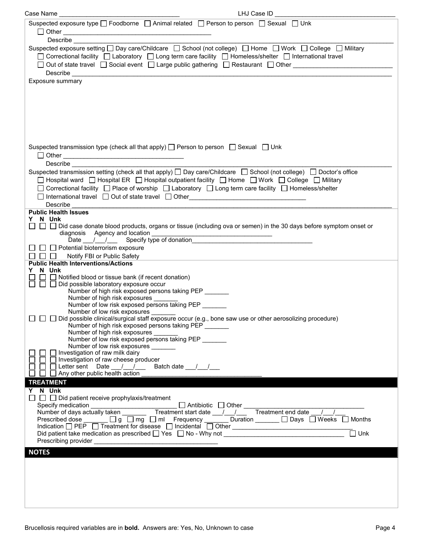| LHJ Case ID<br>Case Name                                                                                                                                                                                                                                                                                                                 |
|------------------------------------------------------------------------------------------------------------------------------------------------------------------------------------------------------------------------------------------------------------------------------------------------------------------------------------------|
| Suspected exposure type $\Box$ Foodborne $\Box$ Animal related $\Box$ Person to person $\Box$ Sexual $\Box$ Unk                                                                                                                                                                                                                          |
|                                                                                                                                                                                                                                                                                                                                          |
| <b>Describe Example</b>                                                                                                                                                                                                                                                                                                                  |
| Suspected exposure setting □ Day care/Childcare □ School (not college) □ Home □ Work □ College □ Military<br>□ Correctional facility □ Laboratory □ Long term care facility □ Homeless/shelter □ International travel<br>□ Out of state travel □ Social event □ Large public gathering □ Restaurant □ Other ____________________________ |
| Exposure summary                                                                                                                                                                                                                                                                                                                         |
|                                                                                                                                                                                                                                                                                                                                          |
|                                                                                                                                                                                                                                                                                                                                          |
|                                                                                                                                                                                                                                                                                                                                          |
|                                                                                                                                                                                                                                                                                                                                          |
|                                                                                                                                                                                                                                                                                                                                          |
|                                                                                                                                                                                                                                                                                                                                          |
| Suspected transmission type (check all that apply) $\Box$ Person to person $\Box$ Sexual $\Box$ Unk                                                                                                                                                                                                                                      |
| <b>Describe Example 20</b>                                                                                                                                                                                                                                                                                                               |
| Suspected transmission setting (check all that apply) $\Box$ Day care/Childcare $\Box$ School (not college) $\Box$ Doctor's office<br>□ Hospital ward □ Hospital ER □ Hospital outpatient facility □ Home □ Work □ College □ Military                                                                                                    |
| □ Correctional facility □ Place of worship □ Laboratory □ Long term care facility □ Homeless/shelter                                                                                                                                                                                                                                     |
| □ International travel □ Out of state travel □ Other____________________________                                                                                                                                                                                                                                                         |
| Describe                                                                                                                                                                                                                                                                                                                                 |
| <b>Public Health Issues</b><br>N Unk                                                                                                                                                                                                                                                                                                     |
| Y<br>$\Box$ $\Box$ Did case donate blood products, organs or tissue (including ova or semen) in the 30 days before symptom onset or                                                                                                                                                                                                      |
| diagnosis Agency and location entries and the set of donation the set of donation and the Date of donation entries and the Date of donation and the Date of donation and the Date of the Date of the Date of the Date of the D                                                                                                           |
|                                                                                                                                                                                                                                                                                                                                          |
| $\Box$ Potential bioterrorism exposure<br>Notify FBI or Public Safety<br>$\mathbf{1}$                                                                                                                                                                                                                                                    |
| <b>Public Health Interventions/Actions</b>                                                                                                                                                                                                                                                                                               |
| N Unk                                                                                                                                                                                                                                                                                                                                    |
| $\Box$ Notified blood or tissue bank (if recent donation)<br>$\Box$ Did possible laboratory exposure occur                                                                                                                                                                                                                               |
| Number of high risk exposed persons taking PEP                                                                                                                                                                                                                                                                                           |
| Number of high risk exposures<br>Number of low risk exposed persons taking PEP                                                                                                                                                                                                                                                           |
| Number of low risk exposures                                                                                                                                                                                                                                                                                                             |
| □ □ 回 bid possible clinical/surgical staff exposure occur (e.g., bone saw use or other aerosolizing procedure)                                                                                                                                                                                                                           |
| Number of high risk exposed persons taking PEP ______<br>Number of high risk exposures                                                                                                                                                                                                                                                   |
| Number of low risk exposed persons taking PEP _______                                                                                                                                                                                                                                                                                    |
| Number of low risk exposures _______<br>Investigation of raw milk dairy                                                                                                                                                                                                                                                                  |
| Investigation of raw cheese producer                                                                                                                                                                                                                                                                                                     |
| □ Letter sent Date __/__/__<br>Batch date __/__/__                                                                                                                                                                                                                                                                                       |
| $\Box$ Any other public health action                                                                                                                                                                                                                                                                                                    |
| <b>TREATMENT</b><br>Y N Unk                                                                                                                                                                                                                                                                                                              |
| $\Box$ $\Box$ Did patient receive prophylaxis/treatment                                                                                                                                                                                                                                                                                  |
| Specify medication<br>Specify medication $\Box$ Antibiotic $\Box$ Other $\Box$<br>Number of days actually taken $\Box$ Treatment start date $\Box/\Box/\Box$                                                                                                                                                                             |
| Treatment end date / /<br>Prescribed dose _____ □ g □ mg □ ml Frequency ____ Duration _____ □ Days □ Weeks □ Months                                                                                                                                                                                                                      |
| Indication □ PEP □ Treatment for disease □ Incidental □ Other ___________________                                                                                                                                                                                                                                                        |
| $\Box$ Unk<br>Did patient take medication as prescribed $\Box$ Yes $\Box$ No - Why not                                                                                                                                                                                                                                                   |
|                                                                                                                                                                                                                                                                                                                                          |
| <b>NOTES</b>                                                                                                                                                                                                                                                                                                                             |
|                                                                                                                                                                                                                                                                                                                                          |
|                                                                                                                                                                                                                                                                                                                                          |
|                                                                                                                                                                                                                                                                                                                                          |
|                                                                                                                                                                                                                                                                                                                                          |
|                                                                                                                                                                                                                                                                                                                                          |